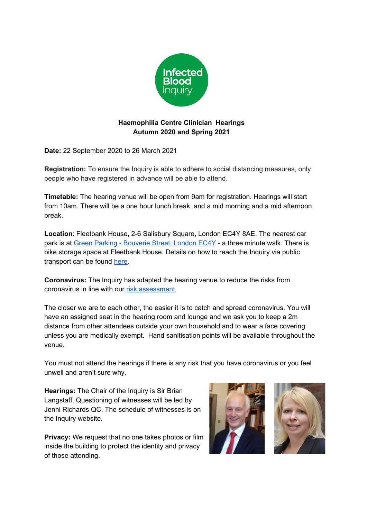

## **Haemophilia Centre Clinician Hearings Autumn 2020 and Spring 2021**

**Date:** 22 September 2020 to 26 March 2021

**Registration:** To ensure the Inquiry is able to adhere to social distancing measures, only people who have registered in advance will be able to attend.

**Timetable:** The hearing venue will be open from 9am for registration. Hearings will start from 10am. There will be a one hour lunch break, and a mid morning and a mid afternoon break.

**Location**: Fleetbank House, 2-6 Salisbury Square, London EC4Y 8AE. The nearest car park is at Green Parking - [Bouverie](https://www.green-parking.co.uk/bouverie-street-london-ec4y-8dp/) Street, London EC4Y - a three minute walk. There is bike storage space at Fleetbank House. Details on how to reach the Inquiry via public transport can be found [here](https://citymapper.com/london?lang=en).

**Coronavirus:** The Inquiry has adapted the hearing venue to reduce the risks from coronavirus in line with our risk [assessment](https://www.infectedbloodinquiry.org.uk/sites/default/files/2020-09/Infected%20Blood%20Inquiry%20-%20Fleetbank%20House%20COVID-19%20Risk%20Assessment%20August%202020%20FINAL.pdf).

The closer we are to each other, the easier it is to catch and spread coronavirus. You will have an assigned seat in the hearing room and lounge and we ask you to keep a 2m distance from other attendees outside your own household and to wear a face covering unless you are medically exempt. Hand sanitisation points will be available throughout the venue.

You must not attend the hearings if there is any risk that you have coronavirus or you feel unwell and aren't sure why.

**Hearings:** The Chair of the Inquiry is Sir Brian Langstaff. Questioning of witnesses will be led by Jenni Richards QC. The schedule of witnesses is on the Inquiry website.

**Privacy:** We request that no one takes photos or film inside the building to protect the identity and privacy of those attending.